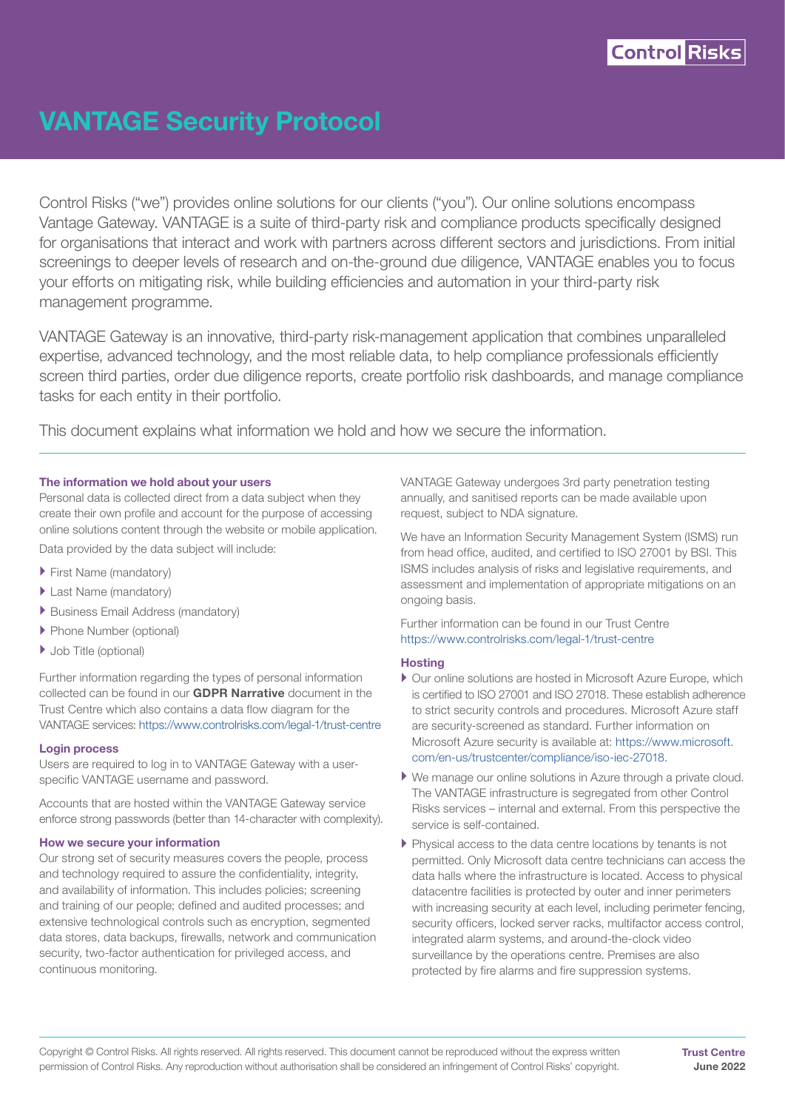

## VANTAGE Security Protocol

Control Risks ("we") provides online solutions for our clients ("you"). Our online solutions encompass Vantage Gateway. VANTAGE is a suite of third-party risk and compliance products specifically designed for organisations that interact and work with partners across different sectors and jurisdictions. From initial screenings to deeper levels of research and on-the-ground due diligence, VANTAGE enables you to focus your efforts on mitigating risk, while building efficiencies and automation in your third-party risk management programme.

VANTAGE Gateway is an innovative, third-party risk-management application that combines unparalleled expertise, advanced technology, and the most reliable data, to help compliance professionals efficiently screen third parties, order due diligence reports, create portfolio risk dashboards, and manage compliance tasks for each entity in their portfolio.

This document explains what information we hold and how we secure the information.

#### The information we hold about your users

Personal data is collected direct from a data subject when they create their own profile and account for the purpose of accessing online solutions content through the website or mobile application.

Data provided by the data subject will include:

- **First Name (mandatory)**
- Last Name (mandatory)
- ` Business Email Address (mandatory)
- **Phone Number (optional)**
- ▶ Job Title (optional)

Further information regarding the types of personal information collected can be found in our **GDPR Narrative** document in the Trust Centre which also contains a data flow diagram for the VANTAGE services: <https://www.controlrisks.com/legal-1/trust-centre>

#### Login process

Users are required to log in to VANTAGE Gateway with a userspecific VANTAGE username and password.

Accounts that are hosted within the VANTAGE Gateway service enforce strong passwords (better than 14-character with complexity).

#### How we secure your information

Our strong set of security measures covers the people, process and technology required to assure the confidentiality, integrity, and availability of information. This includes policies; screening and training of our people; defined and audited processes; and extensive technological controls such as encryption, segmented data stores, data backups, firewalls, network and communication security, two-factor authentication for privileged access, and continuous monitoring.

VANTAGE Gateway undergoes 3rd party penetration testing annually, and sanitised reports can be made available upon request, subject to NDA signature.

We have an Information Security Management System (ISMS) run from head office, audited, and certified to ISO 27001 by BSI. This ISMS includes analysis of risks and legislative requirements, and assessment and implementation of appropriate mitigations on an ongoing basis.

Further information can be found in our Trust Centre <https://www.controlrisks.com/legal-1/trust-centre>

#### **Hosting**

- ` Our online solutions are hosted in Microsoft Azure Europe, which is certified to ISO 27001 and ISO 27018. These establish adherence to strict security controls and procedures. Microsoft Azure staff are security-screened as standard. Further information on Microsoft Azure security is available at: [https://www.microsoft.](https://www.microsoft.com/en-us/trustcenter/compliance/iso-iec-27018) [com/en-us/trustcenter/compliance/iso-iec-27018](https://www.microsoft.com/en-us/trustcenter/compliance/iso-iec-27018).
- ` We manage our online solutions in Azure through a private cloud. The VANTAGE infrastructure is segregated from other Control Risks services – internal and external. From this perspective the service is self-contained.
- ` Physical access to the data centre locations by tenants is not permitted. Only Microsoft data centre technicians can access the data halls where the infrastructure is located. Access to physical datacentre facilities is protected by outer and inner perimeters with increasing security at each level, including perimeter fencing, security officers, locked server racks, multifactor access control, integrated alarm systems, and around-the-clock video surveillance by the operations centre. Premises are also protected by fire alarms and fire suppression systems.